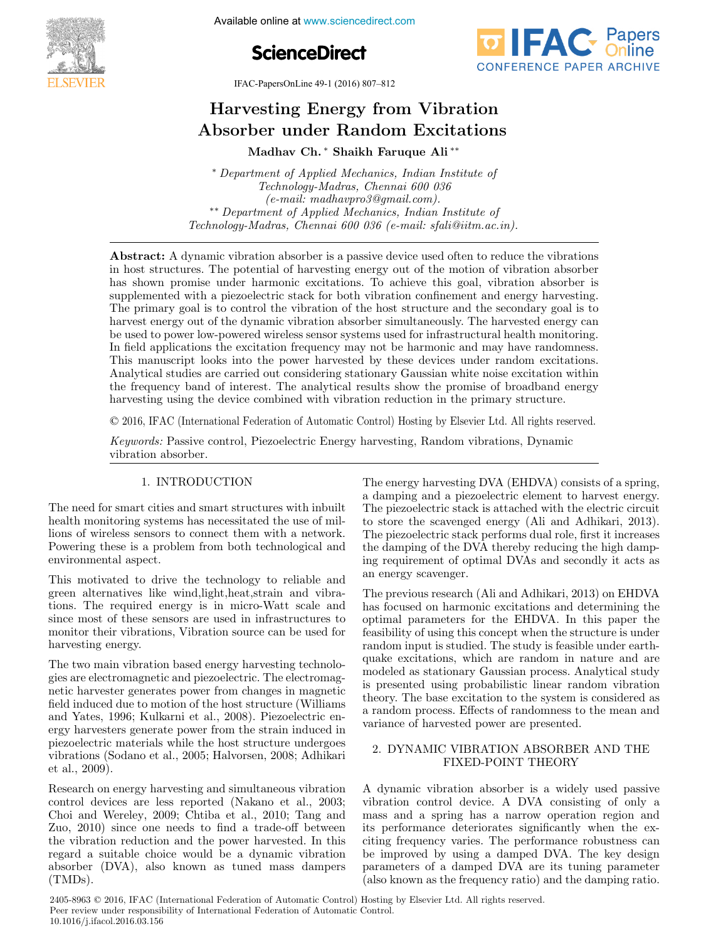





IFAC-PapersOnLine 49-1 (2016) 807–812  $H_{\text{A}}$  and  $H_{\text{A}}$  are  $H_{\text{A}}$  (2010) 007 012

### Harvesting Energy from Vibration Absorber under Random Excitations Absorber under Random Excitations Absorber under Random Excitations Harvesting Energy from Vibration Harvesting Energy from Vibration Harvesting Energy from Vibration Harvesting Energy from Vibration

Madhav Ch. ∗ Shaikh Faruque Ali ∗∗ Madhav Ch. ∗ Shaikh Faruque Ali ∗∗ Madhav Ch. ∗ Shaikh Faruque Ali ∗∗ Madhav Ch. ∗ Shaikh Faruque Ali ∗∗  $\mathbf{A}$ 

Technology-Madras, Chennai 600 036 Technology-Madras, Chennai 600 036 (e-mail: madhavpro3@gmail.com). (e-mail: madhavpro3@gmail.com). Technology-Madras, Chennai 600 036 Technology-Madras, Chennai 600 036 (e-mail: madhavpro3@gmail.com). ∗∗ Department of Applied Mechanics, Indian Institute of ∗∗ Department of Applied Mechanics, Indian Institute of (e-mail: madhavpro3@gmail.com). (e-mail: madhavpro3@gmail.com). Technology-Madras, Chennai 600 036 (e-mail: sfali@iitm.ac.in). ∗ Department of Applied Mechanics, Indian Institute of ∗ Department of Applied Mechanics, Indian Institute of  $Technology-Madras, \ Cheman\ 600\ 036\ (e-mail: \mathit{stal@utm.ac.in}).$ 

Technology-Madras, Chennai 600 036 (e-mail: sfali@iitm.ac.in).

Technology-Madras, Chennai 600 036 (e-mail: sfali@iitm.ac.in).

in host structures. The potential of harvesting energy out of the motion of vibration absorber has shown promise under harmonic excitations. To achieve this goal, vibration absorber is has shown promove and a mannoine exclusions. To define this goal, whitever absorber is<br>supplemented with a piezoelectric stack for both vibration confinement and energy harvesting. The primary goal is to control the vibration of the host structure and the secondary goal is to have primary goal is to control the tributation of the host certacture and the secondary goal is to that vest energy out of the crymanic visitation asserted simulated asy, The harvested energy can<br>be used to power low-powered wireless sensor systems used for infrastructural health monitoring. In field applications the excitation frequency may not be harmonic and may have randomness. This manuscript looks into the power harvested by these devices under random excitations. Analytical studies are carried out considering stationary Gaussian white noise excitation within the frequency band of interest. The analytical results show the promise of broadband energy harvesting using the device combined with vibration reduction in the primary structure. Abstract: A dynamic vibration absorber is a passive device used often to reduce the vibrations Abstract: A dynamic vibration absorber is a passive device used often to reduce the vibrations narvesting using the device combined with vibration reduction in the primary structure.

© 2016, IFAC (International Federation of Automatic Control) Hosting by Elsevier Ltd. All rights reserved.  $\sim$  2010, If the (Informational Federation of Haromatic Control, Hooting by Energy Fact III HyperFock  $\odot$  2016, IFAC (International Federation of Automatic Control) Hosting by Elsevier Ltd. All rights re

Keywords: Passive control, Piezoelectric Energy harvesting, Random vibrations, Dynamic vibration absorber. vibration absorber. vibration absorber. Keywords: Passive control, Piezoelectric Energy harvesting, Random vibrations, Dynamic Keywords: Passive control, Piezoelectric Energy harvesting, Random vibrations, Dynamic

# 1. INTRODUCTION 1. INTRODUCTION 1. INTRODUCTION 1. INTRODUCTION

The need for smart cities and smart structures with inbuilt health monitoring systems has necessitated the use of milholder moment of wireless sensors to connect them with a network. Powering these is a problem from both technological and environmental aspect. environmental aspect. environmental aspect. This motivated to drive the technology to reliable and The need for small cities and small cities and small cities and small cities with inbuilt  $\alpha$ The need for smart cities and smart structures with inbuilt This motivated to drive the technology to reliable and

This motivated to drive the technology to reliable and the movimes is and vicentizely is in micro-watted energy is in micro-watted energy is in micro-watted energy is in micro-watted energy is in micro-watted energy in the set of the wind, light, heat, strain and vibragreen alternatives like wind,light,heat,strain and vibra-<br>tions. The required energy is in micro-Watt scale and tions. The required energy is in micro-Watt scale and<br>since most of these sensors are used in infrastructures to monitor their vibrations, Vibration source can be used for harvesting energy. harvesting energy. monitor their vibrations, Vibration source can be used for monitor their vibrations, Vibration source can be used for harvesting energy. harvesting energy. harvesting energy.  $T_{\text{total}}$  verging energy  $\mathbf{r}$ This motivated to drive the technology to reliable and The two main vibration based energy harvesting technolotions. The required energy is in micro-Watt scale and

The two main vibration based energy harvesting technologies are electromagnetic and piezoelectric. The electromagnetic harvester generates power from changes in magnetic field induced due to motion of the host structure (Williams and Yates, 1996; Kulkarni et al., 2008). Piezoelectric energy harvesters generate power from the strain induced in piezoelectric materials while the host structure undergoes vibrations (Sodano et al., 2005; Halvorsen, 2008; Adhikari et al., 2009). et al., 2009). vibrations (Sodano et al., 2005; Halvorsen, 2008; Adhikari vibrations (Sodano et al., 2005; Halvorsen, 2008; Adhikari et al., 2009). et al., 2009). et al., 2009).  $\cos \alpha n$ ,  $\cos \beta$ . The two main vibration based energy harvesting technolo-Research on energy harvesting and simultaneous vibration

Research on energy harvesting and simultaneous vibration control devices are less reported (Nakano et al., 2003; Choi and Wereley, 2009; Chtiba et al., 2010; Tang and Zuo, 2010) since one needs to find a trade-off between Choi and Wereley, 2009; Chtiba et al., 2010; Tang and Choi and Wereley, 2009; Chtiba et al., 2010; Tang and Choi and Wereley, 2009; Chiba et al., 2010; Tang and Zuo, 2010) since one needs to find a trade-off between the vibration reduction and the power harvested. In this regard a suitable choice would be a dynamic vibration regard a salaxiste choice would be a dynamic visitation<br>absorber (DVA), also known as tuned mass dampers (TMDs). (TMDs). (TMDs).

The energy harvesting DVA (EHDVA) consists of a spring, The energy harvesting DVA (EHDVA) consists of a spring,<br>a damping and a piezoelectric element to harvest energy. The piezoelectric stack is attached with the electric circuit to store the scavenged energy (Ali and Adhikari, 2013). The piezoelectric stack performs dual role, first it increases the damping of the DVA thereby reducing the high damping requirement of optimal DVAs and secondly it acts as an energy scavenger. an energy scavenger. an energy scavenger.  $T_{\text{eff}}$  bearinger. The energy harvesting DVA (EHDVA) consists of a spring, The energy harvesting DVA (EHDVA) consists of a spring, The previous research (Ali and Adhikari, 2013) on EHDVA

The previous research (Ali and Adhikari, 2013) on EHDVA has focused on harmonic excitations and determining the nas recased on national parameters for the EHDVA. In this paper the optimal parameters for the EHDVA. In this paper the optimal parameters for the EHDVA. In this paper the<br>feasibility of using this concept when the structure is under random input is studied. The study is feasible under earthquake excitations, which are random in nature and are modeled as stationary Gaussian process. Analytical study modeled as stationary Gaussian process. Analytical study<br>is presented using probabilistic linear random vibration theory. The base excitation to the system is considered as a random process. Effects of randomness to the mean and variance of harvested power are presented. variance of harvested power are presented. variance of harvested power are presented. The previous research (Ali and Adhikari, 2013) on EHDVA

#### 2. DYNAMIC VIBRATION ABSORBER AND THE FIXED-POINT THEORY FIXED-POINT THEORY FIXED-POINT THEORY 2. DYNAMIC VIBRATION ABSORBER AND THE 2. DYNAMIC VIBRATION ABSORBER AND THE

A dynamic vibration absorber is a widely used passive vibration control device. A DVA consisting of only a vibration control device. A DVA consisting of only a vibration control device. A DVA consisting of only a<br>mass and a spring has a narrow operation region and that a spring has a harrow operation region and be performance decorrective eigenmeantly when the environment of the contract of the contract of the contract of the contract of the contract of the performance robustness can citing frequency varies. The performance robustness can<br>be improved by using a damped DVA. The key design parameters of a damped DVA are its tuning parameter (also known as the frequency ratio) and the damping ratio. (also known as the frequency ratio) and the damping ratio. (also known as the frequency ratio) and the damping ratio.  $\mathcal{A}$  dynamic vibration absorber is a widely used passive passive passive passive passive passive passive passive passive passive passive parameter  $\mathcal{A}$ A dynamic vibration absorber is a widely used passive

2405-8963 © 2016, IFAC (International Federation of Automatic Control) Hosting by Elsevier Ltd. All rights reserved. **Copyright Copyright Copyright Copyright Copyright Copyright Control.**<br> **Peer review under responsibility of International Federation of Automatic Control.** 10.1016/j.ifacol.2016.03.156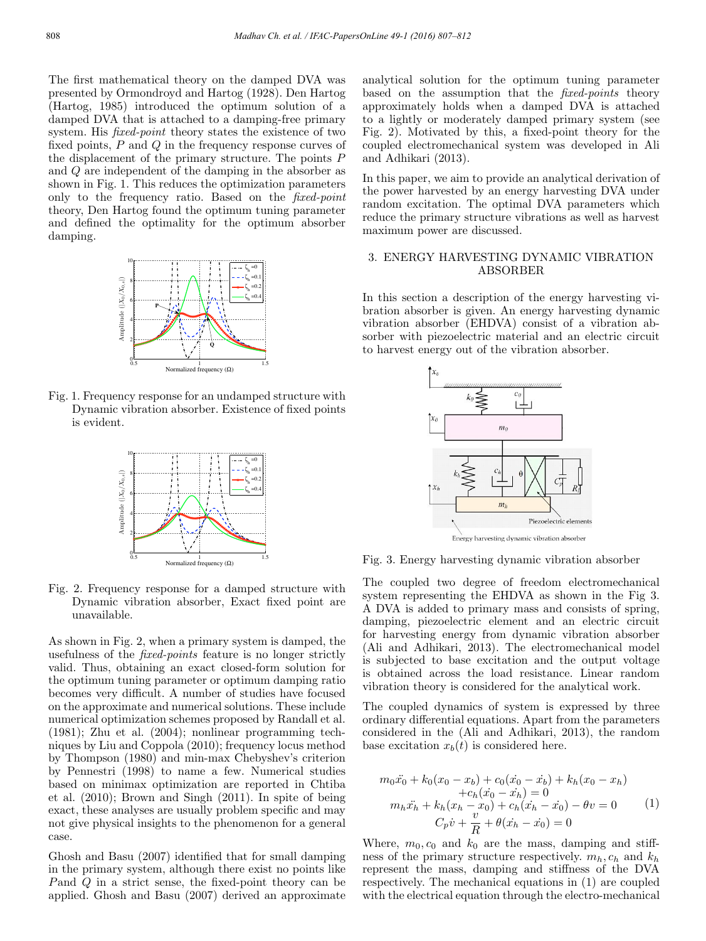The first mathematical theory on the damped DVA was presented by Ormondroyd and Hartog (1928). Den Hartog (Hartog, 1985) introduced the optimum solution of a damped DVA that is attached to a damping-free primary system. His fixed-point theory states the existence of two fixed points, P and Q in the frequency response curves of the displacement of the primary structure. The points P and Q are independent of the damping in the absorber as shown in Fig. 1. This reduces the optimization parameters only to the frequency ratio. Based on the fixed-point theory, Den Hartog found the optimum tuning parameter and defined the optimality for the optimum absorber damping.



Fig. 1. Frequency response for an undamped structure with Dynamic vibration absorber. Existence of fixed points is evident.



Fig. 2. Frequency response for a damped structure with Dynamic vibration absorber, Exact fixed point are unavailable.

As shown in Fig. 2, when a primary system is damped, the usefulness of the fixed-points feature is no longer strictly valid. Thus, obtaining an exact closed-form solution for the optimum tuning parameter or optimum damping ratio becomes very difficult. A number of studies have focused on the approximate and numerical solutions. These include numerical optimization schemes proposed by Randall et al. (1981); Zhu et al. (2004); nonlinear programming techniques by Liu and Coppola (2010); frequency locus method by Thompson (1980) and min-max Chebyshev's criterion by Pennestri (1998) to name a few. Numerical studies based on minimax optimization are reported in Chtiba et al. (2010); Brown and Singh (2011). In spite of being exact, these analyses are usually problem specific and may not give physical insights to the phenomenon for a general case.

Ghosh and Basu (2007) identified that for small damping in the primary system, although there exist no points like Pand Q in a strict sense, the fixed-point theory can be applied. Ghosh and Basu (2007) derived an approximate

analytical solution for the optimum tuning parameter based on the assumption that the fixed-points theory approximately holds when a damped DVA is attached to a lightly or moderately damped primary system (see Fig. 2). Motivated by this, a fixed-point theory for the coupled electromechanical system was developed in Ali and Adhikari (2013).

In this paper, we aim to provide an analytical derivation of the power harvested by an energy harvesting DVA under random excitation. The optimal DVA parameters which reduce the primary structure vibrations as well as harvest maximum power are discussed.

# 3. ENERGY HARVESTING DYNAMIC VIBRATION ABSORBER

In this section a description of the energy harvesting vibration absorber is given. An energy harvesting dynamic vibration absorber (EHDVA) consist of a vibration absorber with piezoelectric material and an electric circuit to harvest energy out of the vibration absorber.



Fig. 3. Energy harvesting dynamic vibration absorber

The coupled two degree of freedom electromechanical system representing the EHDVA as shown in the Fig 3. A DVA is added to primary mass and consists of spring, damping, piezoelectric element and an electric circuit for harvesting energy from dynamic vibration absorber (Ali and Adhikari, 2013). The electromechanical model is subjected to base excitation and the output voltage is obtained across the load resistance. Linear random vibration theory is considered for the analytical work.

The coupled dynamics of system is expressed by three ordinary differential equations. Apart from the parameters considered in the (Ali and Adhikari, 2013), the random base excitation  $x<sub>b</sub>(t)$  is considered here.

$$
m_0\ddot{x_0} + k_0(x_0 - x_b) + c_0(\dot{x_0} - \dot{x_b}) + k_h(x_0 - x_h)
$$
  
+
$$
c_h(\dot{x_0} - \dot{x_h}) = 0
$$
  

$$
m_h\ddot{x_h} + k_h(x_h - x_0) + c_h(\dot{x_h} - \dot{x_0}) - \theta v = 0
$$
  

$$
C_p\dot{v} + \frac{v}{R} + \theta(\dot{x_h} - \dot{x_0}) = 0
$$
 (1)

Where,  $m_0, c_0$  and  $k_0$  are the mass, damping and stiffness of the primary structure respectively.  $m_h, c_h$  and  $k_h$ represent the mass, damping and stiffness of the DVA respectively. The mechanical equations in (1) are coupled with the electrical equation through the electro-mechanical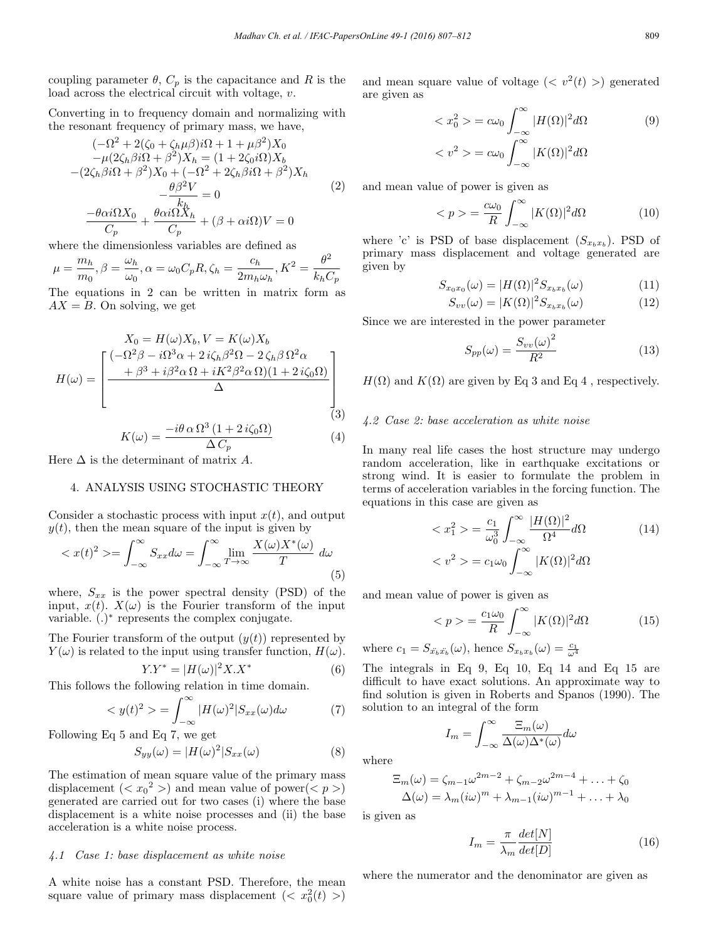coupling parameter  $\theta$ ,  $C_p$  is the capacitance and R is the load across the electrical circuit with voltage,  $v$ .

Converting in to frequency domain and normalizing with the resonant frequency of primary mass, we have,

$$
\begin{aligned}\n &(-\Omega^2 + 2(\zeta_0 + \zeta_h \mu \beta) i\Omega + 1 + \mu \beta^2) X_0 \\
&- \mu(2\zeta_h \beta i\Omega + \beta^2) X_h = (1 + 2\zeta_0 i\Omega) X_b \\
&- (2\zeta_h \beta i\Omega + \beta^2) X_0 + (-\Omega^2 + 2\zeta_h \beta i\Omega + \beta^2) X_h \\
&- \frac{\theta \beta^2 V}{k_h} = 0 \\
&- \frac{\theta \alpha i \Omega X_0}{C_p} + \frac{\theta \alpha i \Omega X_h}{C_p} + (\beta + \alpha i\Omega) V = 0\n \end{aligned}
$$
\n(2)

where the dimensionless variables are defined as

$$
\mu = \frac{m_h}{m_0}, \beta = \frac{\omega_h}{\omega_0}, \alpha = \omega_0 C_p R, \zeta_h = \frac{c_h}{2m_h \omega_h}, K^2 = \frac{\theta^2}{k_h C_p}
$$

The equations in 2 can be written in matrix form as  $AX = B$ . On solving, we get

$$
H(\omega) = \begin{bmatrix} X_0 = H(\omega)X_b, V = K(\omega)X_b \\ -\Omega^2 \beta - i\Omega^3 \alpha + 2i\zeta_b \beta^2 \Omega - 2\zeta_b \beta \Omega^2 \alpha \\ + \beta^3 + i\beta^2 \alpha \Omega + iK^2 \beta^2 \alpha \Omega (1 + 2i\zeta_0 \Omega) \\ \Delta \end{bmatrix}
$$

$$
K(\omega) = \frac{-i\theta \alpha \Omega^3 (1 + 2i\zeta_0 \Omega)}{\Delta C_p}
$$
(4)

Here  $\Delta$  is the determinant of matrix A.

# 4. ANALYSIS USING STOCHASTIC THEORY

Consider a stochastic process with input  $x(t)$ , and output  $y(t)$ , then the mean square of the input is given by

$$
\langle x(t)^2 \rangle = \int_{-\infty}^{\infty} S_{xx} d\omega = \int_{-\infty}^{\infty} \lim_{T \to \infty} \frac{X(\omega) X^*(\omega)}{T} d\omega \tag{5}
$$

where,  $S_{xx}$  is the power spectral density (PSD) of the input,  $x(t)$ .  $X(\omega)$  is the Fourier transform of the input variable. (.)<sup>∗</sup> represents the complex conjugate.

The Fourier transform of the output  $(y(t))$  represented by  $Y(\omega)$  is related to the input using transfer function,  $H(\omega)$ .

$$
Y.Y^* = |H(\omega)|^2 X.X^* \tag{6}
$$

This follows the following relation in time domain.

$$
\langle y(t)^2 \rangle = \int_{-\infty}^{\infty} |H(\omega)^2| S_{xx}(\omega) d\omega \tag{7}
$$

Following Eq 5 and Eq 7, we get

$$
S_{yy}(\omega) = |H(\omega)^2| S_{xx}(\omega)
$$
 (8)

The estimation of mean square value of the primary mass displacement  $( $x_0^2>$ ) and mean value of power( $p >$ )$ generated are carried out for two cases (i) where the base displacement is a white noise processes and (ii) the base acceleration is a white noise process.

### 4.1 Case 1: base displacement as white noise

A white noise has a constant PSD. Therefore, the mean square value of primary mass displacement  $\left( \langle x_0^2(t) \rangle \right)$  and mean square value of voltage  $( $v^2(t) >$ ) generated$ are given as

$$
\langle x_0^2 \rangle = c\omega_0 \int_{-\infty}^{\infty} |H(\Omega)|^2 d\Omega \qquad (9)
$$

$$
\langle v^2 \rangle = c\omega_0 \int_{-\infty}^{\infty} |K(\Omega)|^2 d\Omega
$$

and mean value of power is given as

$$
\langle p \rangle = \frac{c\omega_0}{R} \int_{-\infty}^{\infty} |K(\Omega)|^2 d\Omega \tag{10}
$$

where 'c' is PSD of base displacement  $(S_{x_hx_h})$ . PSD of primary mass displacement and voltage generated are given by

$$
S_{x_0x_0}(\omega) = |H(\Omega)|^2 S_{x_bx_b}(\omega) \tag{11}
$$

$$
S_{vv}(\omega) = |K(\Omega)|^2 S_{x_b x_b}(\omega) \tag{12}
$$

Since we are interested in the power parameter

$$
S_{pp}(\omega) = \frac{S_{vv}(\omega)^2}{R^2} \tag{13}
$$

 $H(\Omega)$  and  $K(\Omega)$  are given by Eq 3 and Eq 4, respectively.

### 4.2 Case 2: base acceleration as white noise

In many real life cases the host structure may undergo random acceleration, like in earthquake excitations or strong wind. It is easier to formulate the problem in terms of acceleration variables in the forcing function. The equations in this case are given as

$$
\langle x_1^2 \rangle = \frac{c_1}{\omega_0^3} \int_{-\infty}^{\infty} \frac{|H(\Omega)|^2}{\Omega^4} d\Omega \qquad (14)
$$

$$
\langle v^2 \rangle = c_1 \omega_0 \int_{-\infty}^{\infty} |K(\Omega)|^2 d\Omega
$$

and mean value of power is given as

$$
\langle p \rangle = \frac{c_1 \omega_0}{R} \int_{-\infty}^{\infty} |K(\Omega)|^2 d\Omega \tag{15}
$$

where  $c_1 = S_{\ddot{x_b}\ddot{x_b}}(\omega)$ , hence  $S_{x_b x_b}(\omega) = \frac{c_1}{\omega^4}$ 

The integrals in Eq 9, Eq 10, Eq 14 and Eq 15 are difficult to have exact solutions. An approximate way to find solution is given in Roberts and Spanos (1990). The solution to an integral of the form

$$
I_m = \int_{-\infty}^{\infty} \frac{\Xi_m(\omega)}{\Delta(\omega)\Delta^*(\omega)} d\omega
$$

where

$$
\Xi_m(\omega) = \zeta_{m-1}\omega^{2m-2} + \zeta_{m-2}\omega^{2m-4} + \dots + \zeta_0
$$
  

$$
\Delta(\omega) = \lambda_m(i\omega)^m + \lambda_{m-1}(i\omega)^{m-1} + \dots + \lambda_0
$$

is given as

$$
I_m = \frac{\pi}{\lambda_m} \frac{det[N]}{det[D]} \tag{16}
$$

where the numerator and the denominator are given as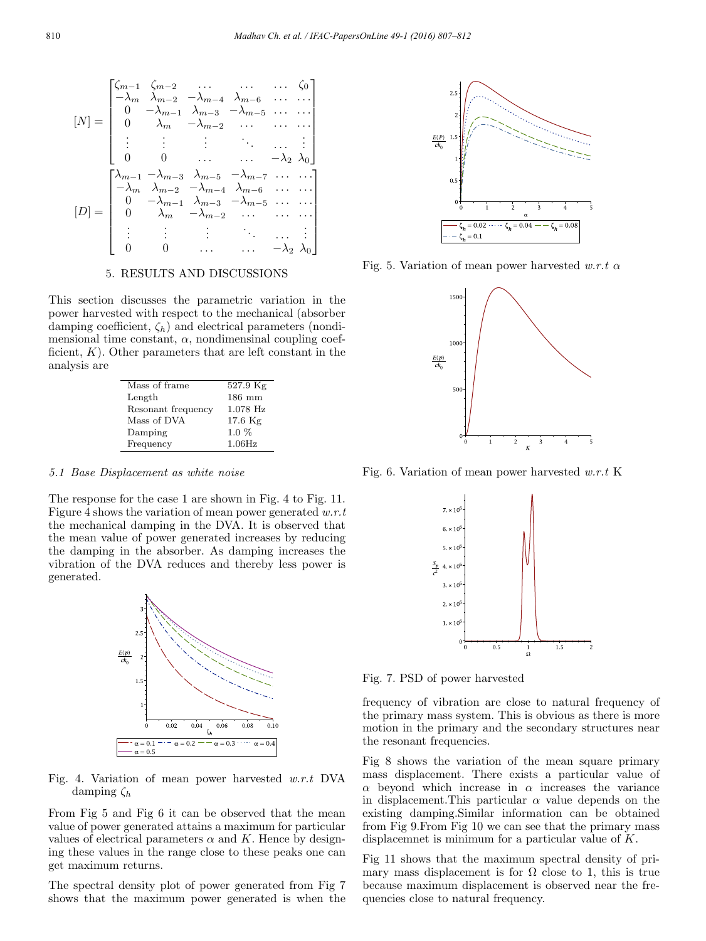$$
[N] = \begin{bmatrix} \zeta_{m-1} & \zeta_{m-2} & \cdots & \cdots & \zeta_{0} \\ -\lambda_m & \lambda_{m-2} & -\lambda_{m-4} & \lambda_{m-6} & \cdots & \cdots \\ 0 & -\lambda_{m-1} & \lambda_{m-3} & -\lambda_{m-5} & \cdots & \cdots \\ 0 & \lambda_m & -\lambda_{m-2} & \cdots & \cdots & \cdots \\ \vdots & \vdots & \vdots & \ddots & \cdots & \vdots \\ 0 & 0 & \cdots & \cdots & -\lambda_2 & \lambda_0 \end{bmatrix}
$$

$$
[D] = \begin{bmatrix} \lambda_{m-1} & -\lambda_{m-3} & \lambda_{m-5} & -\lambda_{m-7} & \cdots & \cdots \\ -\lambda_m & \lambda_{m-2} & -\lambda_{m-4} & \lambda_{m-6} & \cdots & \cdots \\ 0 & -\lambda_{m-1} & \lambda_{m-3} & -\lambda_{m-5} & \cdots & \cdots \\ \vdots & \vdots & \vdots & \ddots & \cdots & \vdots \\ 0 & 0 & \cdots & \cdots & -\lambda_2 & \lambda_0 \end{bmatrix}
$$
  
5. RESULTS AND DISCUSSIONs

This section discusses the parametric variation in the power harvested with respect to the mechanical (absorber damping coefficient,  $\zeta_h$ ) and electrical parameters (nondimensional time constant,  $\alpha$ , nondimensinal coupling coefficient,  $K$ ). Other parameters that are left constant in the analysis are

| Mass of frame      | $527.9$ Kg       |
|--------------------|------------------|
| Length             | $186 \text{ mm}$ |
| Resonant frequency | $1.078$ Hz       |
| Mass of DVA        | $17.6$ Kg        |
| Damping            | $1.0\%$          |
| Frequency          | $1.06$ Hz        |

### 5.1 Base Displacement as white noise

The response for the case 1 are shown in Fig. 4 to Fig. 11. Figure 4 shows the variation of mean power generated  $w.r.t$ the mechanical damping in the DVA. It is observed that the mean value of power generated increases by reducing the damping in the absorber. As damping increases the vibration of the DVA reduces and thereby less power is generated.



Fig. 4. Variation of mean power harvested w.r.t DVA damping  $\zeta_h$ 

From Fig 5 and Fig 6 it can be observed that the mean value of power generated attains a maximum for particular values of electrical parameters  $\alpha$  and K. Hence by designing these values in the range close to these peaks one can get maximum returns.

The spectral density plot of power generated from Fig 7 shows that the maximum power generated is when the



Fig. 5. Variation of mean power harvested w.r.t  $\alpha$ 



Fig. 6. Variation of mean power harvested  $w.r.t$  K



Fig. 7. PSD of power harvested

frequency of vibration are close to natural frequency of the primary mass system. This is obvious as there is more motion in the primary and the secondary structures near the resonant frequencies.

Fig 8 shows the variation of the mean square primary mass displacement. There exists a particular value of  $\alpha$  beyond which increase in  $\alpha$  increases the variance in displacement. This particular  $\alpha$  value depends on the existing damping.Similar information can be obtained from Fig 9.From Fig 10 we can see that the primary mass displacemnet is minimum for a particular value of K.

Fig 11 shows that the maximum spectral density of primary mass displacement is for  $\Omega$  close to 1, this is true because maximum displacement is observed near the frequencies close to natural frequency.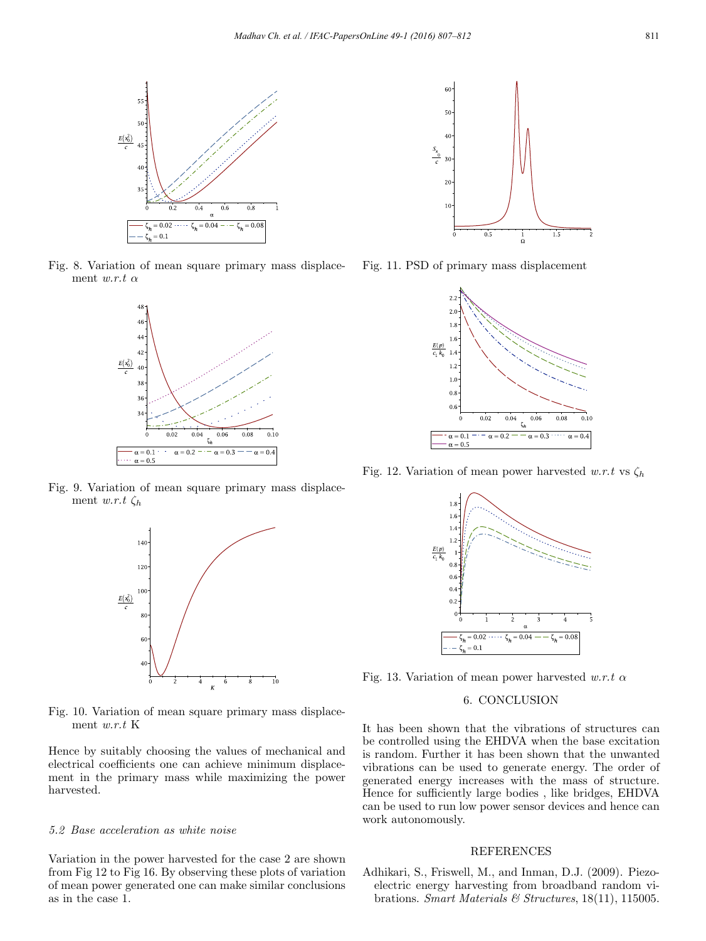

Fig. 8. Variation of mean square primary mass displacement w.r.t  $\alpha$ 



Fig. 9. Variation of mean square primary mass displacement w.r.t  $\zeta_h$ 



Fig. 10. Variation of mean square primary mass displacement w.r.t K

Hence by suitably choosing the values of mechanical and electrical coefficients one can achieve minimum displacement in the primary mass while maximizing the power harvested.

## 5.2 Base acceleration as white noise

Variation in the power harvested for the case 2 are shown from Fig 12 to Fig 16. By observing these plots of variation of mean power generated one can make similar conclusions as in the case 1.



Fig. 11. PSD of primary mass displacement



Fig. 12. Variation of mean power harvested w.r.t vs  $\zeta_h$ 



Fig. 13. Variation of mean power harvested w.r.t  $\alpha$ 

# 6. CONCLUSION

It has been shown that the vibrations of structures can be controlled using the EHDVA when the base excitation is random. Further it has been shown that the unwanted vibrations can be used to generate energy. The order of generated energy increases with the mass of structure. Hence for sufficiently large bodies , like bridges, EHDVA can be used to run low power sensor devices and hence can work autonomously.

### **REFERENCES**

Adhikari, S., Friswell, M., and Inman, D.J. (2009). Piezoelectric energy harvesting from broadband random vibrations. Smart Materials & Structures, 18(11), 115005.